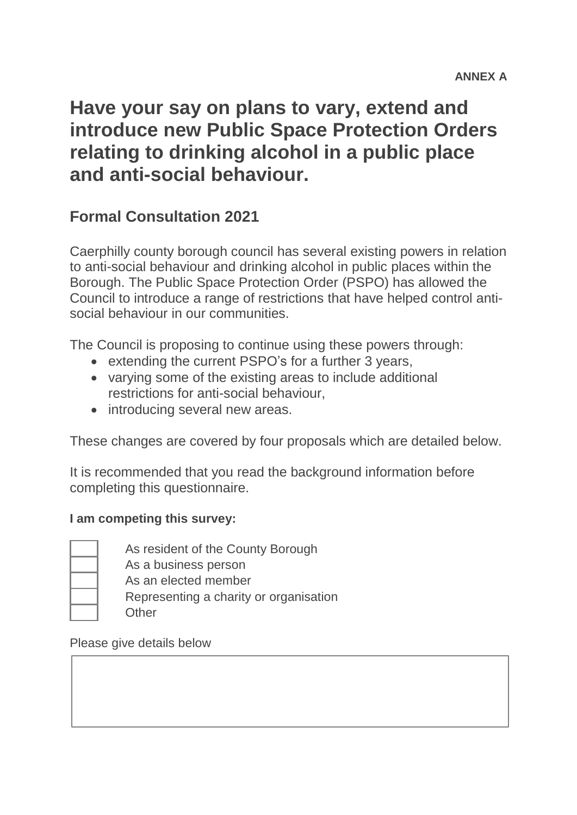# **Have your say on plans to vary, extend and introduce new Public Space Protection Orders relating to drinking alcohol in a public place and anti-social behaviour.**

# **Formal Consultation 2021**

Caerphilly county borough council has several existing powers in relation to anti-social behaviour and drinking alcohol in public places within the Borough. The Public Space Protection Order (PSPO) has allowed the Council to introduce a range of restrictions that have helped control antisocial behaviour in our communities

The Council is proposing to continue using these powers through:

- extending the current PSPO's for a further 3 years,
- varying some of the existing areas to include additional restrictions for anti-social behaviour,
- introducing several new areas.

These changes are covered by four proposals which are detailed below.

It is recommended that you read the background information before completing this questionnaire.

#### **I am competing this survey:**

As resident of the County Borough As a business person As an elected member Representing a charity or organisation **Other** 

Please give details below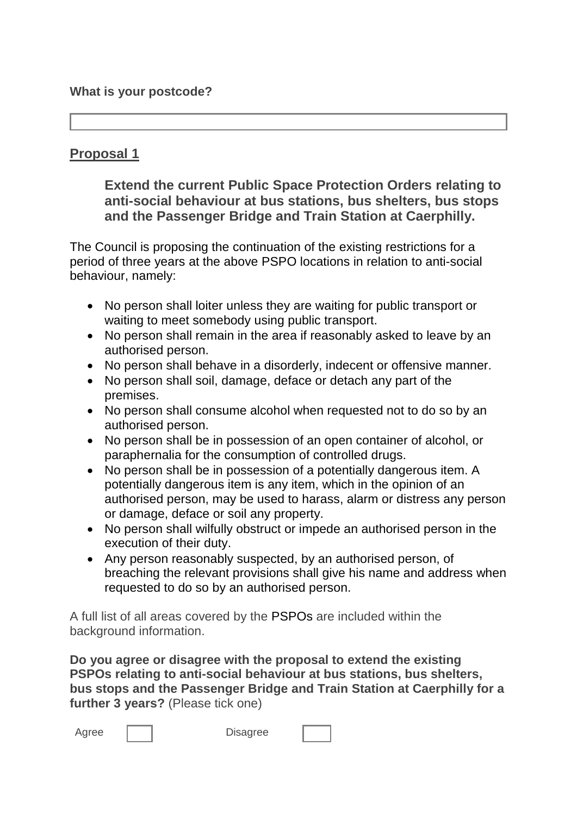# **Proposal 1**

**Extend the current Public Space Protection Orders relating to anti-social behaviour at bus stations, bus shelters, bus stops and the Passenger Bridge and Train Station at Caerphilly.**

The Council is proposing the continuation of the existing restrictions for a period of three years at the above PSPO locations in relation to anti-social behaviour, namely:

- No person shall loiter unless they are waiting for public transport or waiting to meet somebody using public transport.
- No person shall remain in the area if reasonably asked to leave by an authorised person.
- No person shall behave in a disorderly, indecent or offensive manner.
- No person shall soil, damage, deface or detach any part of the premises.
- No person shall consume alcohol when requested not to do so by an authorised person.
- No person shall be in possession of an open container of alcohol, or paraphernalia for the consumption of controlled drugs.
- No person shall be in possession of a potentially dangerous item. A potentially dangerous item is any item, which in the opinion of an authorised person, may be used to harass, alarm or distress any person or damage, deface or soil any property.
- No person shall wilfully obstruct or impede an authorised person in the execution of their duty.
- Any person reasonably suspected, by an authorised person, of breaching the relevant provisions shall give his name and address when requested to do so by an authorised person.

A full list of all areas covered by the PSPOs are included within the background information.

**Do you agree or disagree with the proposal to extend the existing PSPOs relating to anti-social behaviour at bus stations, bus shelters, bus stops and the Passenger Bridge and Train Station at Caerphilly for a further 3 years?** (Please tick one)

| Agree |  | <b>Disagree</b> |
|-------|--|-----------------|
|-------|--|-----------------|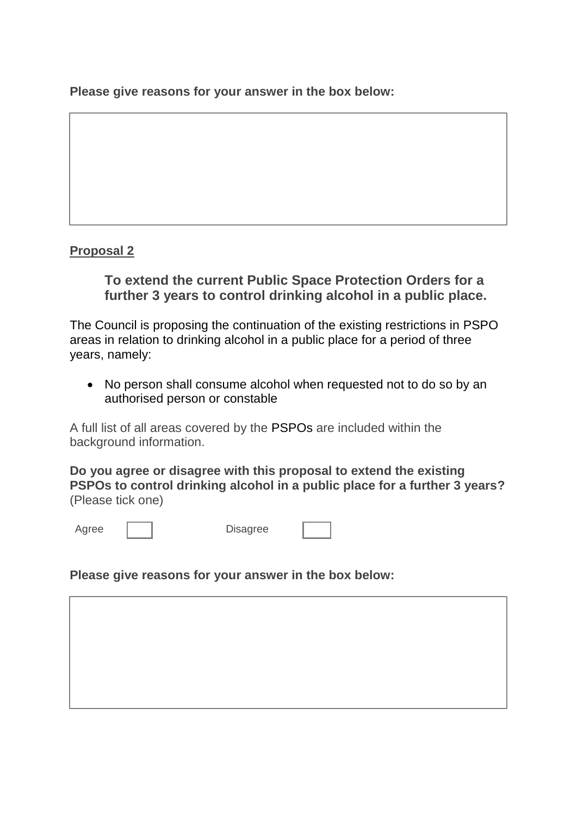**Please give reasons for your answer in the box below:**

#### **Proposal 2**

## **To extend the current Public Space Protection Orders for a further 3 years to control drinking alcohol in a public place.**

The Council is proposing the continuation of the existing restrictions in PSPO areas in relation to drinking alcohol in a public place for a period of three years, namely:

 No person shall consume alcohol when requested not to do so by an authorised person or constable

A full list of all areas covered by the PSPOs are included within the background information.

**Do you agree or disagree with this proposal to extend the existing PSPOs to control drinking alcohol in a public place for a further 3 years?**  (Please tick one)

Agree | | Disagree

**Please give reasons for your answer in the box below:**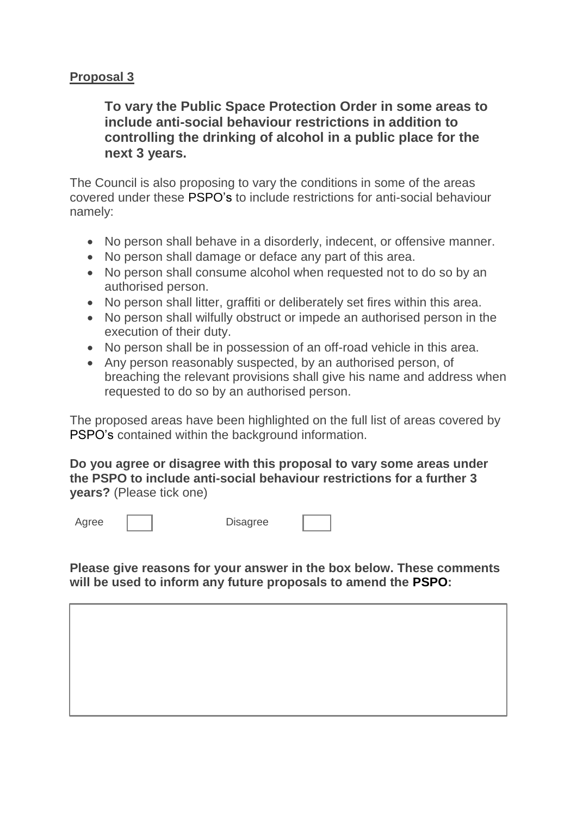#### **Proposal 3**

**To vary the Public Space Protection Order in some areas to include anti-social behaviour restrictions in addition to controlling the drinking of alcohol in a public place for the next 3 years.**

The Council is also proposing to vary the conditions in some of the areas covered under these PSPO's to include restrictions for anti-social behaviour namely:

- No person shall behave in a disorderly, indecent, or offensive manner.
- No person shall damage or deface any part of this area.
- No person shall consume alcohol when requested not to do so by an authorised person.
- No person shall litter, graffiti or deliberately set fires within this area.
- No person shall wilfully obstruct or impede an authorised person in the execution of their duty.
- No person shall be in possession of an off-road vehicle in this area.
- Any person reasonably suspected, by an authorised person, of breaching the relevant provisions shall give his name and address when requested to do so by an authorised person.

The proposed areas have been highlighted on the full list of areas covered by PSPO's contained within the background information.

**Do you agree or disagree with this proposal to vary some areas under the PSPO to include anti-social behaviour restrictions for a further 3 years?** (Please tick one)



**Please give reasons for your answer in the box below. These comments will be used to inform any future proposals to amend the PSPO:**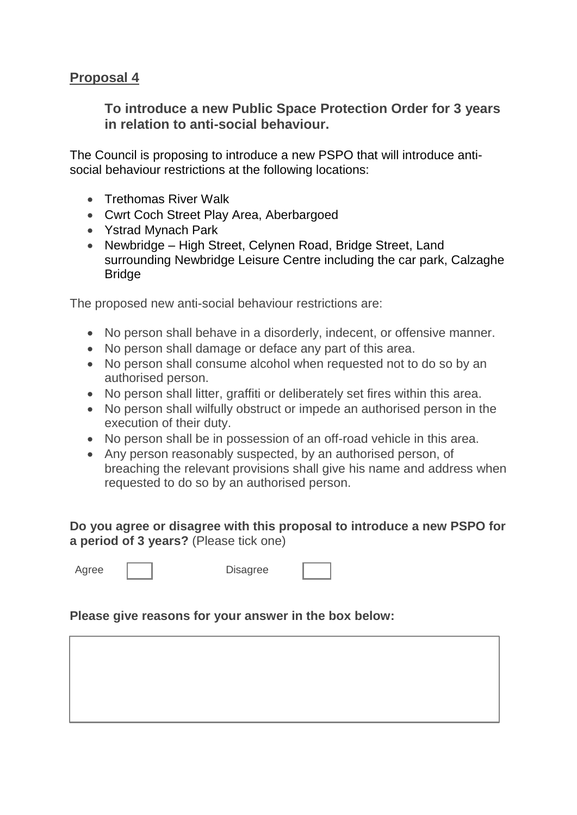## **Proposal 4**

**To introduce a new Public Space Protection Order for 3 years in relation to anti-social behaviour.** 

The Council is proposing to introduce a new PSPO that will introduce antisocial behaviour restrictions at the following locations:

- Trethomas River Walk
- Cwrt Coch Street Play Area, Aberbargoed
- Ystrad Mynach Park
- Newbridge High Street, Celynen Road, Bridge Street, Land surrounding Newbridge Leisure Centre including the car park, Calzaghe **Bridge**

The proposed new anti-social behaviour restrictions are:

- No person shall behave in a disorderly, indecent, or offensive manner.
- No person shall damage or deface any part of this area.
- No person shall consume alcohol when requested not to do so by an authorised person.
- No person shall litter, graffiti or deliberately set fires within this area.
- No person shall wilfully obstruct or impede an authorised person in the execution of their duty.
- No person shall be in possession of an off-road vehicle in this area.
- Any person reasonably suspected, by an authorised person, of breaching the relevant provisions shall give his name and address when requested to do so by an authorised person.

**Do you agree or disagree with this proposal to introduce a new PSPO for a period of 3 years?** (Please tick one)

Agree | | Disagree

#### **Please give reasons for your answer in the box below:**